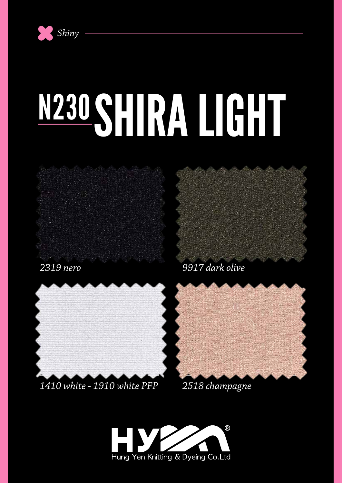

# N230 SHIRA LIGHT



*2319 nero*

*9917 dark olive*



### *1410 white - 1910 white PFP 2518 champagne*